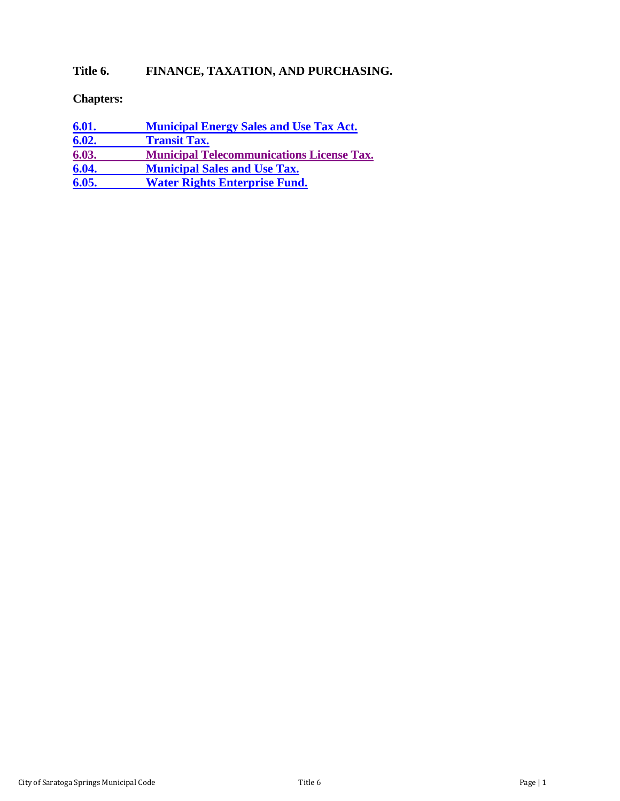# **Title 6. FINANCE, TAXATION, AND PURCHASING.**

## **Chapters:**

| <u>6.01.</u> | <b>Municipal Energy Sales and Use Tax Act.</b>   |
|--------------|--------------------------------------------------|
| 6.02.        | <b>Transit Tax.</b>                              |
| 6.03.        | <b>Municipal Telecommunications License Tax.</b> |
| 6.04.        | <b>Municipal Sales and Use Tax.</b>              |
| 6.05.        | <b>Water Rights Enterprise Fund.</b>             |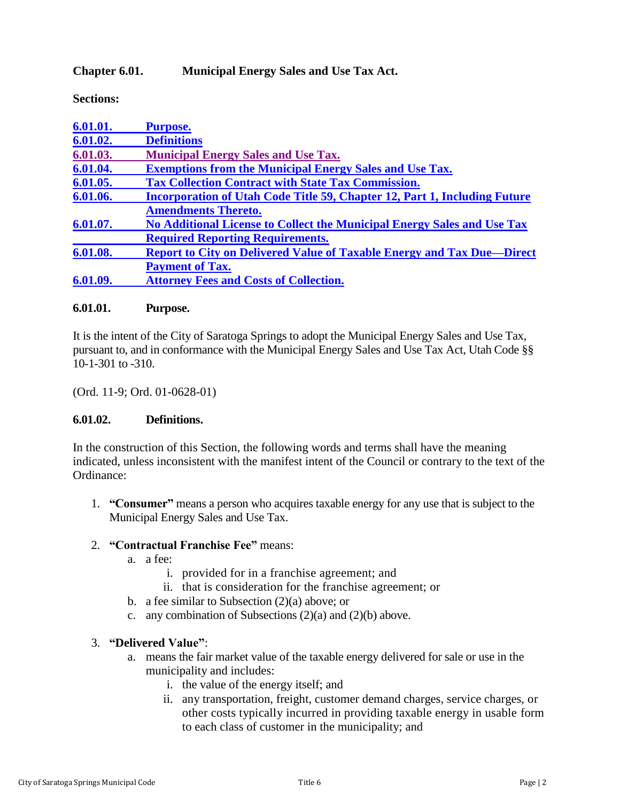### <span id="page-1-0"></span>**Chapter 6.01. Municipal Energy Sales and Use Tax Act.**

**Sections:**

| 6.01.01. | <b>Purpose.</b>                                                                  |
|----------|----------------------------------------------------------------------------------|
| 6.01.02. | <b>Definitions</b>                                                               |
| 6.01.03. | <b>Municipal Energy Sales and Use Tax.</b>                                       |
| 6.01.04. | <b>Exemptions from the Municipal Energy Sales and Use Tax.</b>                   |
| 6.01.05. | <b>Tax Collection Contract with State Tax Commission.</b>                        |
| 6.01.06. | <b>Incorporation of Utah Code Title 59, Chapter 12, Part 1, Including Future</b> |
|          | <b>Amendments Thereto.</b>                                                       |
| 6.01.07. | No Additional License to Collect the Municipal Energy Sales and Use Tax          |
|          | <b>Required Reporting Requirements.</b>                                          |
| 6.01.08. | <b>Report to City on Delivered Value of Taxable Energy and Tax Due—Direct</b>    |
|          | <b>Payment of Tax.</b>                                                           |
| 6.01.09. | <b>Attorney Fees and Costs of Collection.</b>                                    |
|          |                                                                                  |

#### <span id="page-1-1"></span>**6.01.01. Purpose.**

It is the intent of the City of Saratoga Springs to adopt the Municipal Energy Sales and Use Tax, pursuant to, and in conformance with the Municipal Energy Sales and Use Tax Act, Utah Code §§ 10-1-301 to -310.

(Ord. 11-9; Ord. 01-0628-01)

#### <span id="page-1-2"></span>**6.01.02. Definitions.**

In the construction of this Section, the following words and terms shall have the meaning indicated, unless inconsistent with the manifest intent of the Council or contrary to the text of the Ordinance:

1. **"Consumer"** means a person who acquires taxable energy for any use that is subject to the Municipal Energy Sales and Use Tax.

#### 2. **"Contractual Franchise Fee"** means:

- a. a fee:
	- i. provided for in a franchise agreement; and
	- ii. that is consideration for the franchise agreement; or
- b. a fee similar to Subsection  $(2)(a)$  above; or
- c. any combination of Subsections (2)(a) and (2)(b) above.

#### 3. **"Delivered Value"**:

- a. means the fair market value of the taxable energy delivered for sale or use in the municipality and includes:
	- i. the value of the energy itself; and
	- ii. any transportation, freight, customer demand charges, service charges, or other costs typically incurred in providing taxable energy in usable form to each class of customer in the municipality; and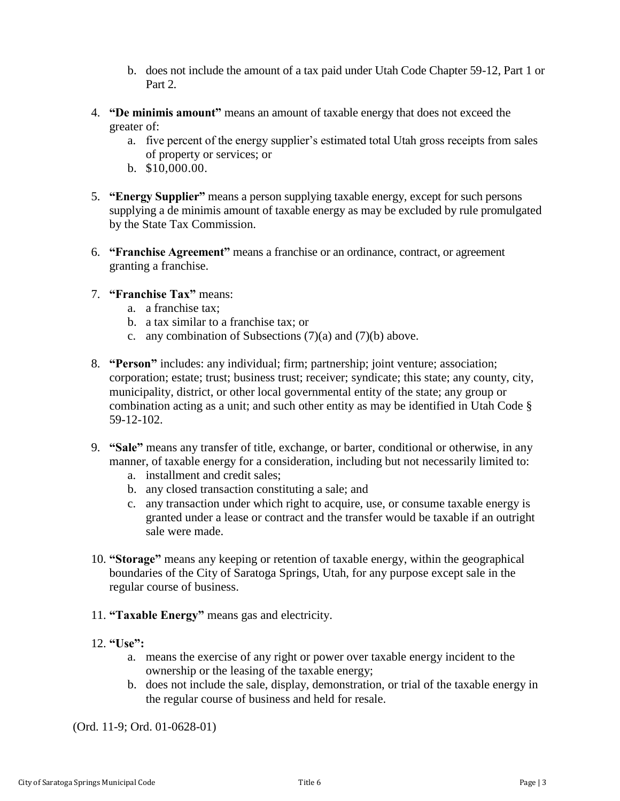- b. does not include the amount of a tax paid under Utah Code Chapter 59-12, Part 1 or Part 2*.*
- 4. **"De minimis amount"** means an amount of taxable energy that does not exceed the greater of:
	- a. five percent of the energy supplier's estimated total Utah gross receipts from sales of property or services; or
	- b. \$10,000.00.
- 5. **"Energy Supplier"** means a person supplying taxable energy, except for such persons supplying a de minimis amount of taxable energy as may be excluded by rule promulgated by the State Tax Commission.
- 6. **"Franchise Agreement"** means a franchise or an ordinance, contract, or agreement granting a franchise.
- 7. **"Franchise Tax"** means:
	- a. a franchise tax;
	- b. a tax similar to a franchise tax; or
	- c. any combination of Subsections (7)(a) and (7)(b) above.
- 8. **"Person"** includes: any individual; firm; partnership; joint venture; association; corporation; estate; trust; business trust; receiver; syndicate; this state; any county, city, municipality, district, or other local governmental entity of the state; any group or combination acting as a unit; and such other entity as may be identified in Utah Code § 59-12-102.
- 9. **"Sale"** means any transfer of title, exchange, or barter, conditional or otherwise, in any manner, of taxable energy for a consideration, including but not necessarily limited to:
	- a. installment and credit sales;
	- b. any closed transaction constituting a sale; and
	- c. any transaction under which right to acquire, use, or consume taxable energy is granted under a lease or contract and the transfer would be taxable if an outright sale were made.
- 10. **"Storage"** means any keeping or retention of taxable energy, within the geographical boundaries of the City of Saratoga Springs, Utah, for any purpose except sale in the regular course of business.
- 11. **"Taxable Energy"** means gas and electricity.
- 12. **"Use":**
	- a. means the exercise of any right or power over taxable energy incident to the ownership or the leasing of the taxable energy;
	- b. does not include the sale, display, demonstration, or trial of the taxable energy in the regular course of business and held for resale.

(Ord. 11-9; Ord. 01-0628-01)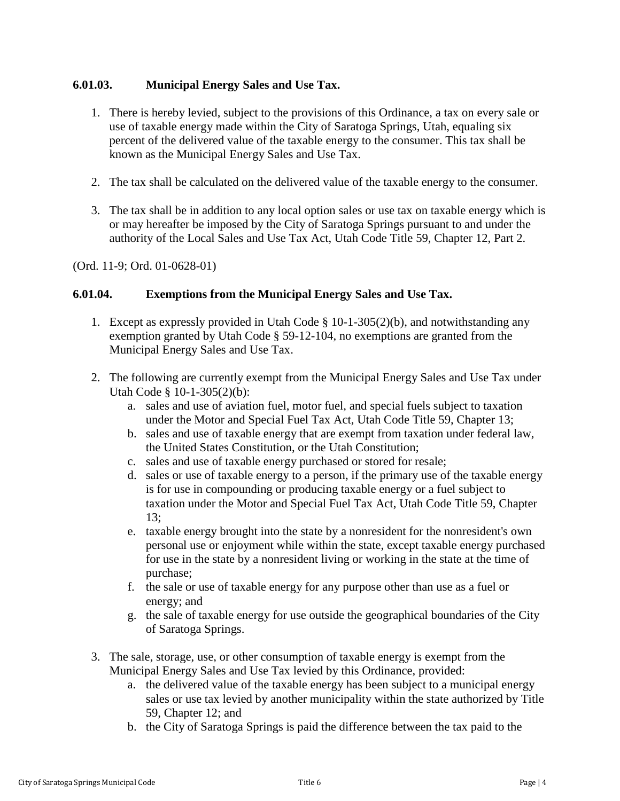## <span id="page-3-0"></span>**6.01.03. Municipal Energy Sales and Use Tax.**

- 1. There is hereby levied, subject to the provisions of this Ordinance, a tax on every sale or use of taxable energy made within the City of Saratoga Springs, Utah, equaling six percent of the delivered value of the taxable energy to the consumer. This tax shall be known as the Municipal Energy Sales and Use Tax.
- 2. The tax shall be calculated on the delivered value of the taxable energy to the consumer.
- 3. The tax shall be in addition to any local option sales or use tax on taxable energy which is or may hereafter be imposed by the City of Saratoga Springs pursuant to and under the authority of the Local Sales and Use Tax Act, Utah Code Title 59, Chapter 12, Part 2.

(Ord. 11-9; Ord. 01-0628-01)

#### <span id="page-3-1"></span>**6.01.04. Exemptions from the Municipal Energy Sales and Use Tax.**

- 1. Except as expressly provided in Utah Code § 10-1-305(2)(b), and notwithstanding any exemption granted by Utah Code § 59-12-104, no exemptions are granted from the Municipal Energy Sales and Use Tax.
- 2. The following are currently exempt from the Municipal Energy Sales and Use Tax under Utah Code § 10-1-305(2)(b):
	- a. sales and use of aviation fuel, motor fuel, and special fuels subject to taxation under the Motor and Special Fuel Tax Act, Utah Code Title 59, Chapter 13;
	- b. sales and use of taxable energy that are exempt from taxation under federal law, the United States Constitution, or the Utah Constitution;
	- c. sales and use of taxable energy purchased or stored for resale;
	- d. sales or use of taxable energy to a person, if the primary use of the taxable energy is for use in compounding or producing taxable energy or a fuel subject to taxation under the Motor and Special Fuel Tax Act, Utah Code Title 59, Chapter 13;
	- e. taxable energy brought into the state by a nonresident for the nonresident's own personal use or enjoyment while within the state, except taxable energy purchased for use in the state by a nonresident living or working in the state at the time of purchase;
	- f. the sale or use of taxable energy for any purpose other than use as a fuel or energy; and
	- g. the sale of taxable energy for use outside the geographical boundaries of the City of Saratoga Springs.
- 3. The sale, storage, use, or other consumption of taxable energy is exempt from the Municipal Energy Sales and Use Tax levied by this Ordinance, provided:
	- a. the delivered value of the taxable energy has been subject to a municipal energy sales or use tax levied by another municipality within the state authorized by Title 59, Chapter 12; and
	- b. the City of Saratoga Springs is paid the difference between the tax paid to the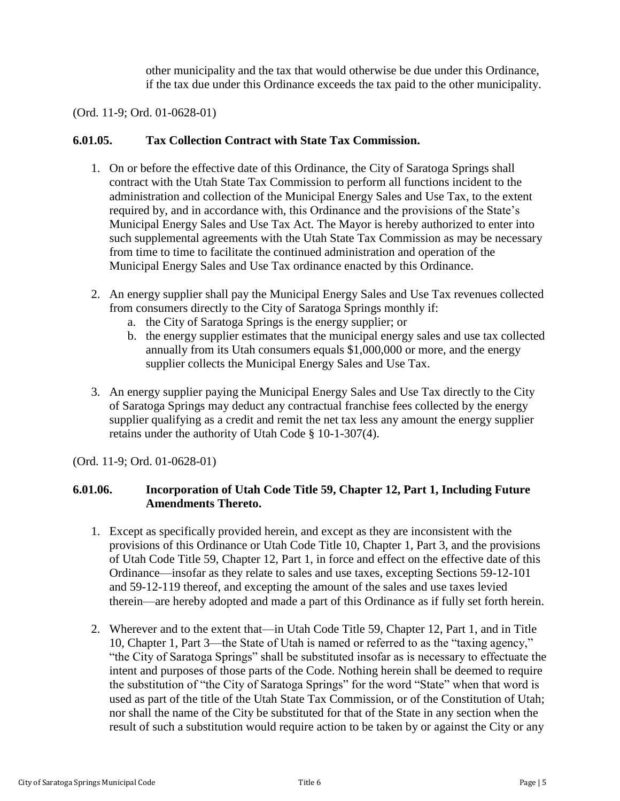other municipality and the tax that would otherwise be due under this Ordinance, if the tax due under this Ordinance exceeds the tax paid to the other municipality.

(Ord. 11-9; Ord. 01-0628-01)

#### <span id="page-4-0"></span>**6.01.05. Tax Collection Contract with State Tax Commission.**

- 1. On or before the effective date of this Ordinance, the City of Saratoga Springs shall contract with the Utah State Tax Commission to perform all functions incident to the administration and collection of the Municipal Energy Sales and Use Tax, to the extent required by, and in accordance with, this Ordinance and the provisions of the State's Municipal Energy Sales and Use Tax Act. The Mayor is hereby authorized to enter into such supplemental agreements with the Utah State Tax Commission as may be necessary from time to time to facilitate the continued administration and operation of the Municipal Energy Sales and Use Tax ordinance enacted by this Ordinance.
- 2. An energy supplier shall pay the Municipal Energy Sales and Use Tax revenues collected from consumers directly to the City of Saratoga Springs monthly if:
	- a. the City of Saratoga Springs is the energy supplier; or
	- b. the energy supplier estimates that the municipal energy sales and use tax collected annually from its Utah consumers equals \$1,000,000 or more, and the energy supplier collects the Municipal Energy Sales and Use Tax.
- 3. An energy supplier paying the Municipal Energy Sales and Use Tax directly to the City of Saratoga Springs may deduct any contractual franchise fees collected by the energy supplier qualifying as a credit and remit the net tax less any amount the energy supplier retains under the authority of Utah Code § 10-1-307(4).

(Ord. 11-9; Ord. 01-0628-01)

## <span id="page-4-1"></span>**6.01.06. Incorporation of Utah Code Title 59, Chapter 12, Part 1, Including Future Amendments Thereto.**

- 1. Except as specifically provided herein, and except as they are inconsistent with the provisions of this Ordinance or Utah Code Title 10, Chapter 1, Part 3, and the provisions of Utah Code Title 59, Chapter 12, Part 1, in force and effect on the effective date of this Ordinance—insofar as they relate to sales and use taxes, excepting Sections 59-12-101 and 59-12-119 thereof, and excepting the amount of the sales and use taxes levied therein—are hereby adopted and made a part of this Ordinance as if fully set forth herein.
- 2. Wherever and to the extent that—in Utah Code Title 59, Chapter 12, Part 1, and in Title 10, Chapter 1, Part 3—the State of Utah is named or referred to as the "taxing agency," "the City of Saratoga Springs" shall be substituted insofar as is necessary to effectuate the intent and purposes of those parts of the Code. Nothing herein shall be deemed to require the substitution of "the City of Saratoga Springs" for the word "State" when that word is used as part of the title of the Utah State Tax Commission, or of the Constitution of Utah; nor shall the name of the City be substituted for that of the State in any section when the result of such a substitution would require action to be taken by or against the City or any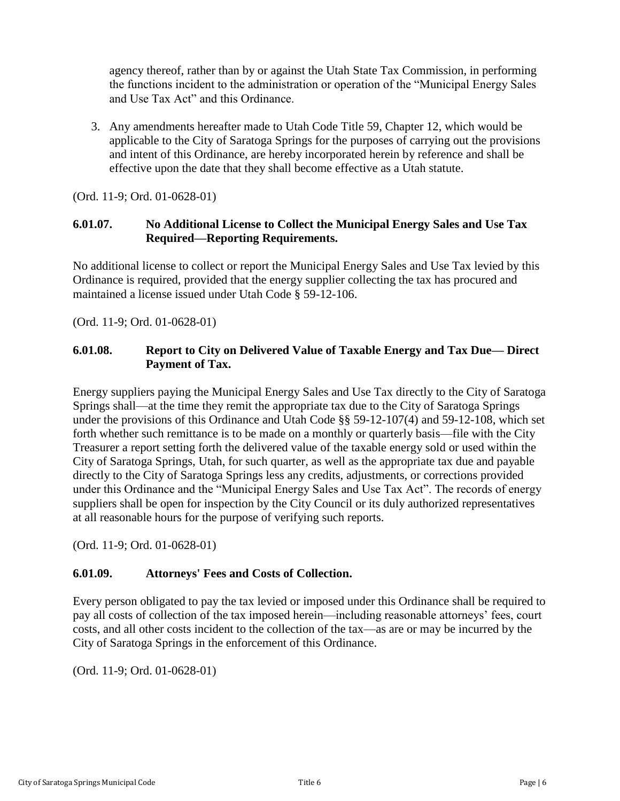agency thereof, rather than by or against the Utah State Tax Commission, in performing the functions incident to the administration or operation of the "Municipal Energy Sales and Use Tax Act" and this Ordinance.

3. Any amendments hereafter made to Utah Code Title 59, Chapter 12, which would be applicable to the City of Saratoga Springs for the purposes of carrying out the provisions and intent of this Ordinance, are hereby incorporated herein by reference and shall be effective upon the date that they shall become effective as a Utah statute.

(Ord. 11-9; Ord. 01-0628-01)

## <span id="page-5-0"></span>**6.01.07. No Additional License to Collect the Municipal Energy Sales and Use Tax Required—Reporting Requirements.**

No additional license to collect or report the Municipal Energy Sales and Use Tax levied by this Ordinance is required, provided that the energy supplier collecting the tax has procured and maintained a license issued under Utah Code § 59-12-106.

(Ord. 11-9; Ord. 01-0628-01)

### **6.01.08. Report to City on Delivered Value of Taxable Energy and Tax Due— Direct Payment of Tax.**

Energy suppliers paying the Municipal Energy Sales and Use Tax directly to the City of Saratoga Springs shall—at the time they remit the appropriate tax due to the City of Saratoga Springs under the provisions of this Ordinance and Utah Code §§ 59-12-107(4) and 59-12-108, which set forth whether such remittance is to be made on a monthly or quarterly basis—file with the City Treasurer a report setting forth the delivered value of the taxable energy sold or used within the City of Saratoga Springs, Utah, for such quarter, as well as the appropriate tax due and payable directly to the City of Saratoga Springs less any credits, adjustments, or corrections provided under this Ordinance and the "Municipal Energy Sales and Use Tax Act". The records of energy suppliers shall be open for inspection by the City Council or its duly authorized representatives at all reasonable hours for the purpose of verifying such reports.

(Ord. 11-9; Ord. 01-0628-01)

## <span id="page-5-1"></span>**6.01.09. Attorneys' Fees and Costs of Collection.**

Every person obligated to pay the tax levied or imposed under this Ordinance shall be required to pay all costs of collection of the tax imposed herein—including reasonable attorneys' fees, court costs, and all other costs incident to the collection of the tax—as are or may be incurred by the City of Saratoga Springs in the enforcement of this Ordinance.

(Ord. 11-9; Ord. 01-0628-01)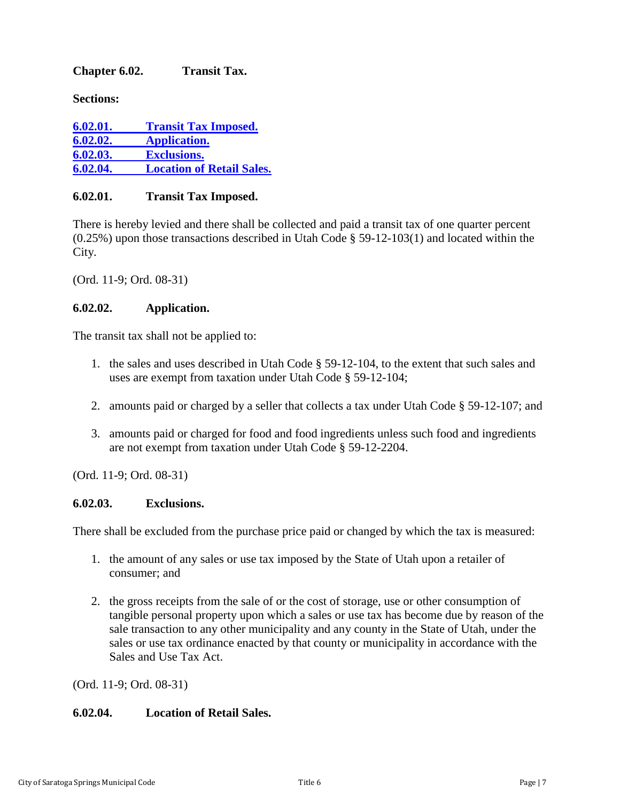### <span id="page-6-0"></span>**Chapter 6.02. Transit Tax.**

**Sections:**

| 6.02.01. | <b>Transit Tax Imposed.</b>      |
|----------|----------------------------------|
| 6.02.02. | <b>Application.</b>              |
| 6.02.03. | <b>Exclusions.</b>               |
| 6.02.04. | <b>Location of Retail Sales.</b> |

## <span id="page-6-1"></span>**6.02.01. Transit Tax Imposed.**

There is hereby levied and there shall be collected and paid a transit tax of one quarter percent (0.25%) upon those transactions described in Utah Code § 59-12-103(1) and located within the City.

(Ord. 11-9; Ord. 08-31)

### <span id="page-6-2"></span>**6.02.02. Application.**

The transit tax shall not be applied to:

- 1. the sales and uses described in Utah Code § 59-12-104, to the extent that such sales and uses are exempt from taxation under Utah Code § 59-12-104;
- 2. amounts paid or charged by a seller that collects a tax under Utah Code § 59-12-107; and
- 3. amounts paid or charged for food and food ingredients unless such food and ingredients are not exempt from taxation under Utah Code § 59-12-2204.

(Ord. 11-9; Ord. 08-31)

#### <span id="page-6-3"></span>**6.02.03. Exclusions.**

There shall be excluded from the purchase price paid or changed by which the tax is measured:

- 1. the amount of any sales or use tax imposed by the State of Utah upon a retailer of consumer; and
- 2. the gross receipts from the sale of or the cost of storage, use or other consumption of tangible personal property upon which a sales or use tax has become due by reason of the sale transaction to any other municipality and any county in the State of Utah, under the sales or use tax ordinance enacted by that county or municipality in accordance with the Sales and Use Tax Act.

(Ord. 11-9; Ord. 08-31)

#### <span id="page-6-4"></span>**6.02.04. Location of Retail Sales.**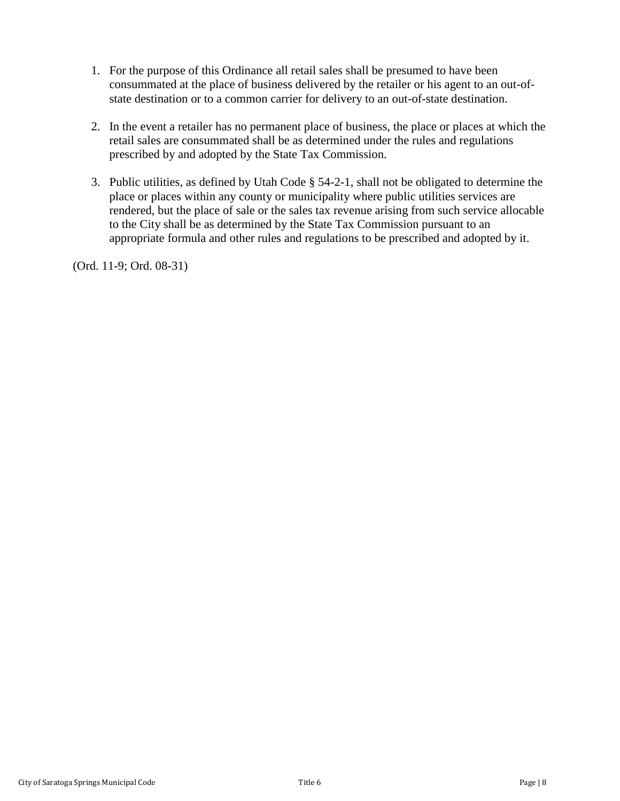- 1. For the purpose of this Ordinance all retail sales shall be presumed to have been consummated at the place of business delivered by the retailer or his agent to an out-ofstate destination or to a common carrier for delivery to an out-of-state destination.
- 2. In the event a retailer has no permanent place of business, the place or places at which the retail sales are consummated shall be as determined under the rules and regulations prescribed by and adopted by the State Tax Commission.
- 3. Public utilities, as defined by Utah Code § 54-2-1, shall not be obligated to determine the place or places within any county or municipality where public utilities services are rendered, but the place of sale or the sales tax revenue arising from such service allocable to the City shall be as determined by the State Tax Commission pursuant to an appropriate formula and other rules and regulations to be prescribed and adopted by it.

(Ord. 11-9; Ord. 08-31)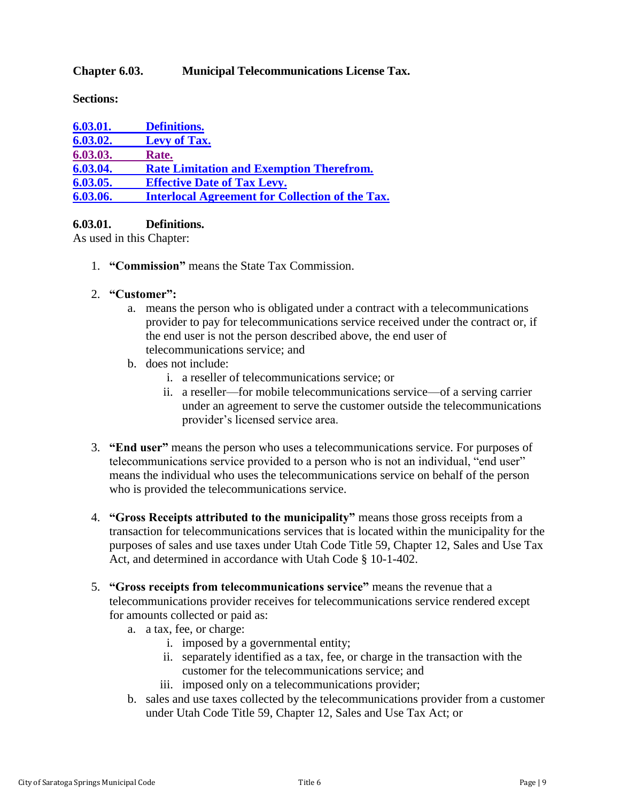### <span id="page-8-0"></span>**Chapter 6.03. Municipal Telecommunications License Tax.**

**Sections:**

| 6.03.01. | <b>Definitions.</b>                                    |
|----------|--------------------------------------------------------|
| 6.03.02. | <b>Levy of Tax.</b>                                    |
| 6.03.03. | Rate.                                                  |
| 6.03.04. | <b>Rate Limitation and Exemption Therefrom.</b>        |
| 6.03.05. | <b>Effective Date of Tax Levy.</b>                     |
| 6.03.06. | <b>Interlocal Agreement for Collection of the Tax.</b> |

### <span id="page-8-1"></span>**6.03.01. Definitions.**

As used in this Chapter:

- 1. **"Commission"** means the State Tax Commission.
- 2. **"Customer":**
	- a. means the person who is obligated under a contract with a telecommunications provider to pay for telecommunications service received under the contract or, if the end user is not the person described above, the end user of telecommunications service; and
	- b. does not include:
		- i. a reseller of telecommunications service; or
		- ii. a reseller—for mobile telecommunications service—of a serving carrier under an agreement to serve the customer outside the telecommunications provider's licensed service area.
- 3. **"End user"** means the person who uses a telecommunications service. For purposes of telecommunications service provided to a person who is not an individual, "end user" means the individual who uses the telecommunications service on behalf of the person who is provided the telecommunications service.
- 4. **"Gross Receipts attributed to the municipality"** means those gross receipts from a transaction for telecommunications services that is located within the municipality for the purposes of sales and use taxes under Utah Code Title 59, Chapter 12, Sales and Use Tax Act, and determined in accordance with Utah Code § 10-1-402.
- 5. **"Gross receipts from telecommunications service"** means the revenue that a telecommunications provider receives for telecommunications service rendered except for amounts collected or paid as:
	- a. a tax, fee, or charge:
		- i. imposed by a governmental entity;
		- ii. separately identified as a tax, fee, or charge in the transaction with the customer for the telecommunications service; and
		- iii. imposed only on a telecommunications provider;
	- b. sales and use taxes collected by the telecommunications provider from a customer under Utah Code Title 59, Chapter 12, Sales and Use Tax Act; or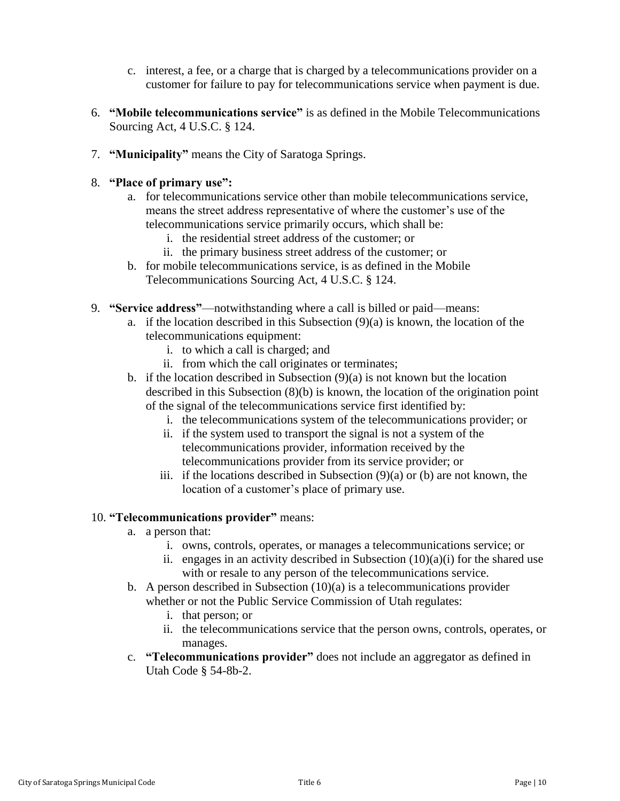- c. interest, a fee, or a charge that is charged by a telecommunications provider on a customer for failure to pay for telecommunications service when payment is due.
- 6. **"Mobile telecommunications service"** is as defined in the Mobile Telecommunications Sourcing Act, 4 U.S.C. § 124.
- 7. **"Municipality"** means the City of Saratoga Springs.
- 8. **"Place of primary use":**
	- a. for telecommunications service other than mobile telecommunications service, means the street address representative of where the customer's use of the telecommunications service primarily occurs, which shall be:
		- i. the residential street address of the customer; or
		- ii. the primary business street address of the customer; or
	- b. for mobile telecommunications service, is as defined in the Mobile Telecommunications Sourcing Act, 4 U.S.C. § 124.
- 9. **"Service address"**—notwithstanding where a call is billed or paid—means:
	- a. if the location described in this Subsection  $(9)(a)$  is known, the location of the telecommunications equipment:
		- i. to which a call is charged; and
		- ii. from which the call originates or terminates;
	- b. if the location described in Subsection (9)(a) is not known but the location described in this Subsection (8)(b) is known, the location of the origination point of the signal of the telecommunications service first identified by:
		- i. the telecommunications system of the telecommunications provider; or
		- ii. if the system used to transport the signal is not a system of the telecommunications provider, information received by the telecommunications provider from its service provider; or
		- iii. if the locations described in Subsection (9)(a) or (b) are not known, the location of a customer's place of primary use.

#### 10. **"Telecommunications provider"** means:

- a. a person that:
	- i. owns, controls, operates, or manages a telecommunications service; or
	- ii. engages in an activity described in Subsection  $(10)(a)(i)$  for the shared use with or resale to any person of the telecommunications service.
- b. A person described in Subsection  $(10)(a)$  is a telecommunications provider whether or not the Public Service Commission of Utah regulates:
	- i. that person; or
	- ii. the telecommunications service that the person owns, controls, operates, or manages.
- c. **"Telecommunications provider"** does not include an aggregator as defined in Utah Code § 54-8b-2.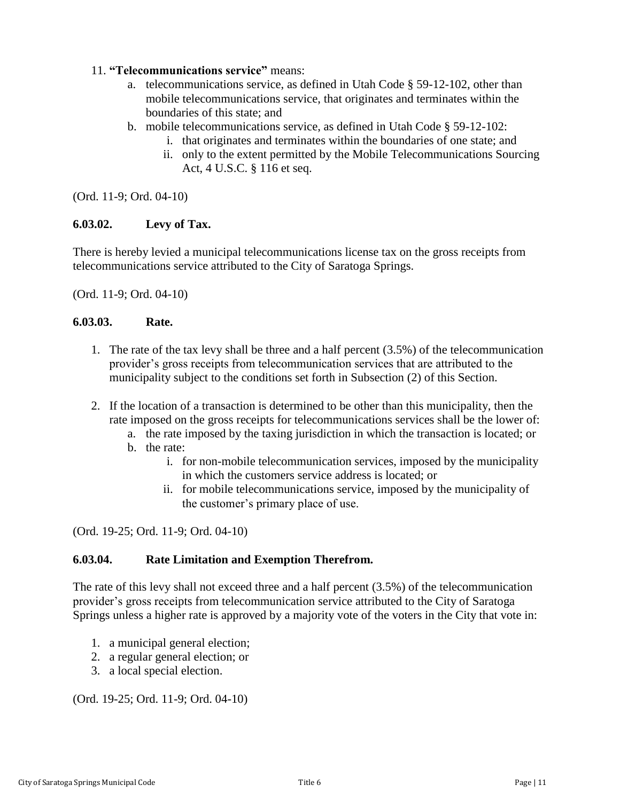### 11. **"Telecommunications service"** means:

- a. telecommunications service, as defined in Utah Code § 59-12-102, other than mobile telecommunications service, that originates and terminates within the boundaries of this state; and
- b. mobile telecommunications service, as defined in Utah Code § 59-12-102:
	- i. that originates and terminates within the boundaries of one state; and
	- ii. only to the extent permitted by the Mobile Telecommunications Sourcing Act, 4 U.S.C. § 116 et seq.

(Ord. 11-9; Ord. 04-10)

#### <span id="page-10-0"></span>**6.03.02. Levy of Tax.**

There is hereby levied a municipal telecommunications license tax on the gross receipts from telecommunications service attributed to the City of Saratoga Springs.

(Ord. 11-9; Ord. 04-10)

#### <span id="page-10-1"></span>**6.03.03. Rate.**

- 1. The rate of the tax levy shall be three and a half percent (3.5%) of the telecommunication provider's gross receipts from telecommunication services that are attributed to the municipality subject to the conditions set forth in Subsection (2) of this Section.
- 2. If the location of a transaction is determined to be other than this municipality, then the rate imposed on the gross receipts for telecommunications services shall be the lower of:
	- a. the rate imposed by the taxing jurisdiction in which the transaction is located; or
	- b. the rate:
		- i. for non-mobile telecommunication services, imposed by the municipality in which the customers service address is located; or
		- ii. for mobile telecommunications service, imposed by the municipality of the customer's primary place of use.

(Ord. 19-25; Ord. 11-9; Ord. 04-10)

#### <span id="page-10-2"></span>**6.03.04. Rate Limitation and Exemption Therefrom.**

The rate of this levy shall not exceed three and a half percent (3.5%) of the telecommunication provider's gross receipts from telecommunication service attributed to the City of Saratoga Springs unless a higher rate is approved by a majority vote of the voters in the City that vote in:

- 1. a municipal general election;
- 2. a regular general election; or
- 3. a local special election.

<span id="page-10-3"></span>(Ord. 19-25; Ord. 11-9; Ord. 04-10)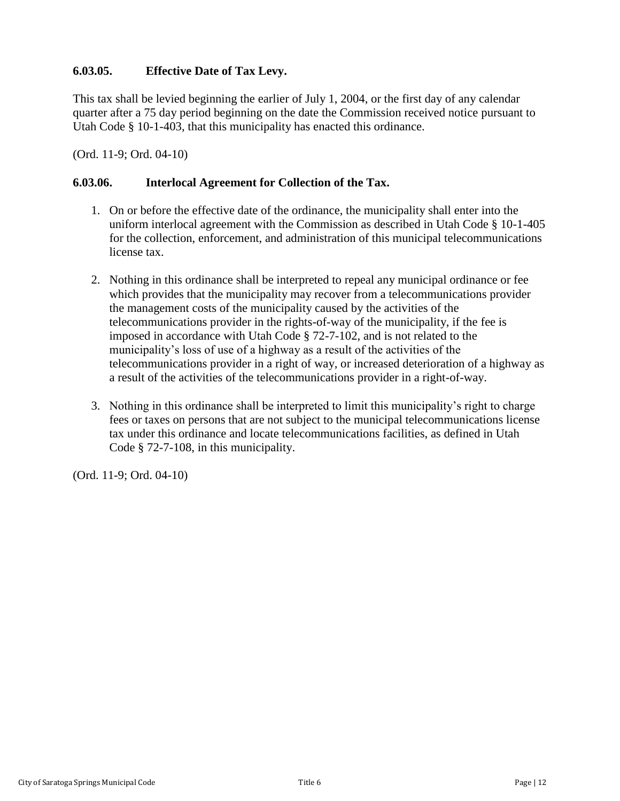## **6.03.05. Effective Date of Tax Levy.**

This tax shall be levied beginning the earlier of July 1, 2004, or the first day of any calendar quarter after a 75 day period beginning on the date the Commission received notice pursuant to Utah Code § 10-1-403, that this municipality has enacted this ordinance.

(Ord. 11-9; Ord. 04-10)

### <span id="page-11-0"></span>**6.03.06. Interlocal Agreement for Collection of the Tax.**

- 1. On or before the effective date of the ordinance, the municipality shall enter into the uniform interlocal agreement with the Commission as described in Utah Code § 10-1-405 for the collection, enforcement, and administration of this municipal telecommunications license tax.
- 2. Nothing in this ordinance shall be interpreted to repeal any municipal ordinance or fee which provides that the municipality may recover from a telecommunications provider the management costs of the municipality caused by the activities of the telecommunications provider in the rights-of-way of the municipality, if the fee is imposed in accordance with Utah Code § 72-7-102, and is not related to the municipality's loss of use of a highway as a result of the activities of the telecommunications provider in a right of way, or increased deterioration of a highway as a result of the activities of the telecommunications provider in a right-of-way.
- 3. Nothing in this ordinance shall be interpreted to limit this municipality's right to charge fees or taxes on persons that are not subject to the municipal telecommunications license tax under this ordinance and locate telecommunications facilities, as defined in Utah Code § 72-7-108, in this municipality.

(Ord. 11-9; Ord. 04-10)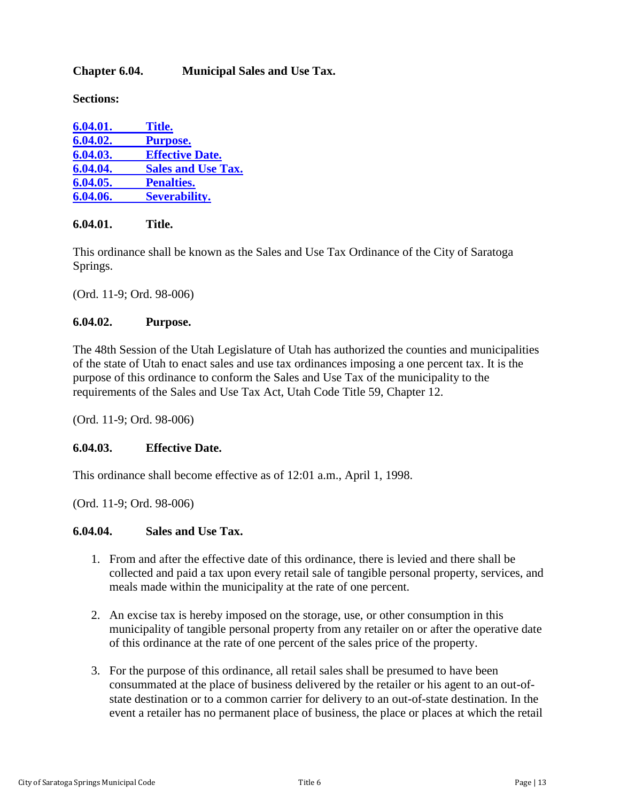## <span id="page-12-0"></span>**Chapter 6.04. Municipal Sales and Use Tax.**

**Sections:**

| 6.04.01. | Title.                    |
|----------|---------------------------|
| 6.04.02. | <b>Purpose.</b>           |
| 6.04.03. | <b>Effective Date.</b>    |
| 6.04.04. | <b>Sales and Use Tax.</b> |
| 6.04.05. | <b>Penalties.</b>         |
| 6.04.06. | <b>Severability.</b>      |

#### <span id="page-12-1"></span>**6.04.01. Title.**

This ordinance shall be known as the Sales and Use Tax Ordinance of the City of Saratoga Springs.

(Ord. 11-9; Ord. 98-006)

#### <span id="page-12-2"></span>**6.04.02. Purpose.**

The 48th Session of the Utah Legislature of Utah has authorized the counties and municipalities of the state of Utah to enact sales and use tax ordinances imposing a one percent tax. It is the purpose of this ordinance to conform the Sales and Use Tax of the municipality to the requirements of the Sales and Use Tax Act, Utah Code Title 59, Chapter 12.

(Ord. 11-9; Ord. 98-006)

#### <span id="page-12-3"></span>**6.04.03. Effective Date.**

This ordinance shall become effective as of 12:01 a.m., April 1, 1998.

(Ord. 11-9; Ord. 98-006)

#### <span id="page-12-4"></span>**6.04.04. Sales and Use Tax.**

- 1. From and after the effective date of this ordinance, there is levied and there shall be collected and paid a tax upon every retail sale of tangible personal property, services, and meals made within the municipality at the rate of one percent.
- 2. An excise tax is hereby imposed on the storage, use, or other consumption in this municipality of tangible personal property from any retailer on or after the operative date of this ordinance at the rate of one percent of the sales price of the property.
- 3. For the purpose of this ordinance, all retail sales shall be presumed to have been consummated at the place of business delivered by the retailer or his agent to an out-ofstate destination or to a common carrier for delivery to an out-of-state destination. In the event a retailer has no permanent place of business, the place or places at which the retail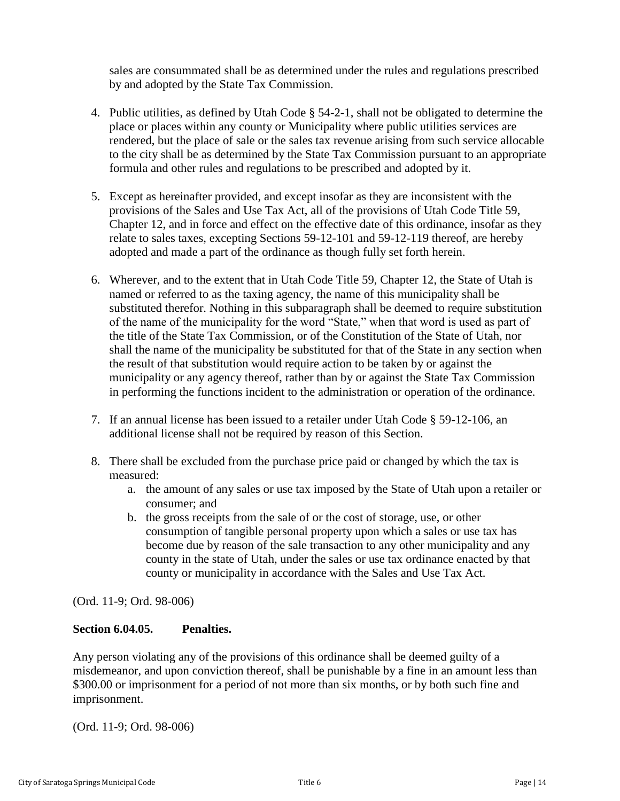sales are consummated shall be as determined under the rules and regulations prescribed by and adopted by the State Tax Commission.

- 4. Public utilities, as defined by Utah Code § 54-2-1, shall not be obligated to determine the place or places within any county or Municipality where public utilities services are rendered, but the place of sale or the sales tax revenue arising from such service allocable to the city shall be as determined by the State Tax Commission pursuant to an appropriate formula and other rules and regulations to be prescribed and adopted by it.
- 5. Except as hereinafter provided, and except insofar as they are inconsistent with the provisions of the Sales and Use Tax Act, all of the provisions of Utah Code Title 59, Chapter 12, and in force and effect on the effective date of this ordinance, insofar as they relate to sales taxes, excepting Sections 59-12-101 and 59-12-119 thereof, are hereby adopted and made a part of the ordinance as though fully set forth herein.
- 6. Wherever, and to the extent that in Utah Code Title 59, Chapter 12, the State of Utah is named or referred to as the taxing agency, the name of this municipality shall be substituted therefor. Nothing in this subparagraph shall be deemed to require substitution of the name of the municipality for the word "State," when that word is used as part of the title of the State Tax Commission, or of the Constitution of the State of Utah, nor shall the name of the municipality be substituted for that of the State in any section when the result of that substitution would require action to be taken by or against the municipality or any agency thereof, rather than by or against the State Tax Commission in performing the functions incident to the administration or operation of the ordinance.
- 7. If an annual license has been issued to a retailer under Utah Code § 59-12-106, an additional license shall not be required by reason of this Section.
- 8. There shall be excluded from the purchase price paid or changed by which the tax is measured:
	- a. the amount of any sales or use tax imposed by the State of Utah upon a retailer or consumer; and
	- b. the gross receipts from the sale of or the cost of storage, use, or other consumption of tangible personal property upon which a sales or use tax has become due by reason of the sale transaction to any other municipality and any county in the state of Utah, under the sales or use tax ordinance enacted by that county or municipality in accordance with the Sales and Use Tax Act.

(Ord. 11-9; Ord. 98-006)

#### <span id="page-13-0"></span>**Section 6.04.05. Penalties.**

Any person violating any of the provisions of this ordinance shall be deemed guilty of a misdemeanor, and upon conviction thereof, shall be punishable by a fine in an amount less than \$300.00 or imprisonment for a period of not more than six months, or by both such fine and imprisonment.

(Ord. 11-9; Ord. 98-006)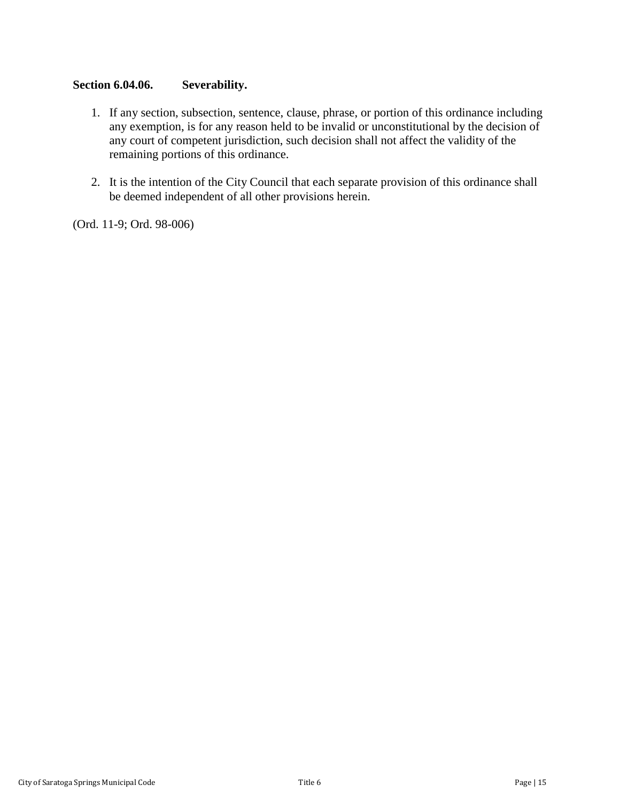### <span id="page-14-0"></span>**Section 6.04.06. Severability.**

- 1. If any section, subsection, sentence, clause, phrase, or portion of this ordinance including any exemption, is for any reason held to be invalid or unconstitutional by the decision of any court of competent jurisdiction, such decision shall not affect the validity of the remaining portions of this ordinance.
- 2. It is the intention of the City Council that each separate provision of this ordinance shall be deemed independent of all other provisions herein.

(Ord. 11-9; Ord. 98-006)